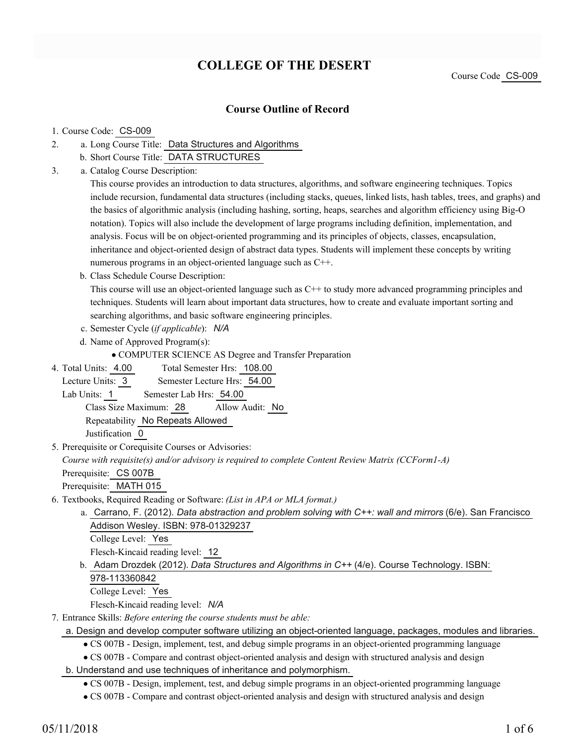# **COLLEGE OF THE DESERT**

Course Code CS-009

## **Course Outline of Record**

#### 1. Course Code: CS-009

- a. Long Course Title: Data Structures and Algorithms 2.
	- b. Short Course Title: DATA STRUCTURES
- Catalog Course Description: a. 3.

This course provides an introduction to data structures, algorithms, and software engineering techniques. Topics include recursion, fundamental data structures (including stacks, queues, linked lists, hash tables, trees, and graphs) and the basics of algorithmic analysis (including hashing, sorting, heaps, searches and algorithm efficiency using Big-O notation). Topics will also include the development of large programs including definition, implementation, and analysis. Focus will be on object-oriented programming and its principles of objects, classes, encapsulation, inheritance and object-oriented design of abstract data types. Students will implement these concepts by writing numerous programs in an object-oriented language such as C++.

b. Class Schedule Course Description:

This course will use an object-oriented language such as C++ to study more advanced programming principles and techniques. Students will learn about important data structures, how to create and evaluate important sorting and searching algorithms, and basic software engineering principles.

- c. Semester Cycle (*if applicable*): *N/A*
- d. Name of Approved Program(s):

COMPUTER SCIENCE AS Degree and Transfer Preparation

Total Semester Hrs: 108.00 4. Total Units: 4.00

Lecture Units: 3 Semester Lecture Hrs: 54.00

Lab Units: 1 Semester Lab Hrs: 54.00

Class Size Maximum: 28 Allow Audit: No

Repeatability No Repeats Allowed

Justification 0

5. Prerequisite or Corequisite Courses or Advisories:

*Course with requisite(s) and/or advisory is required to complete Content Review Matrix (CCForm1-A)*

Prerequisite: CS 007B

Prerequisite: MATH 015

- Textbooks, Required Reading or Software: *(List in APA or MLA format.)* 6.
	- a. Carrano, F. (2012). *Data abstraction and problem solving with C++: wall and mirrors* (6/e). San Francisco Addison Wesley. ISBN: 978-01329237

College Level: Yes

Flesch-Kincaid reading level: 12

b. Adam Drozdek (2012). *Data Structures and Algorithms in C++* (4/e). Course Technology. ISBN: 978-113360842

College Level: Yes

Flesch-Kincaid reading level: *N/A*

- Entrance Skills: *Before entering the course students must be able:* 7.
	- a. Design and develop computer software utilizing an object-oriented language, packages, modules and libraries.
		- CS 007B Design, implement, test, and debug simple programs in an object-oriented programming language
		- CS 007B Compare and contrast object-oriented analysis and design with structured analysis and design
	- b. Understand and use techniques of inheritance and polymorphism.

CS 007B - Design, implement, test, and debug simple programs in an object-oriented programming language

CS 007B - Compare and contrast object-oriented analysis and design with structured analysis and design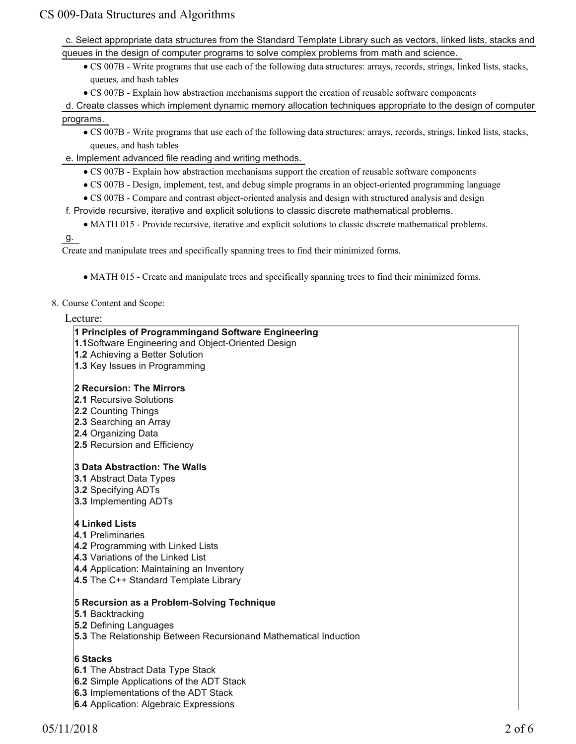c. Select appropriate data structures from the Standard Template Library such as vectors, linked lists, stacks and queues in the design of computer programs to solve complex problems from math and science.

- CS 007B Write programs that use each of the following data structures: arrays, records, strings, linked lists, stacks, queues, and hash tables
- CS 007B Explain how abstraction mechanisms support the creation of reusable software components
- d. Create classes which implement dynamic memory allocation techniques appropriate to the design of computer programs.
	- CS 007B Write programs that use each of the following data structures: arrays, records, strings, linked lists, stacks, queues, and hash tables
- e. Implement advanced file reading and writing methods.
	- CS 007B Explain how abstraction mechanisms support the creation of reusable software components
	- CS 007B Design, implement, test, and debug simple programs in an object-oriented programming language
	- CS 007B Compare and contrast object-oriented analysis and design with structured analysis and design
- f. Provide recursive, iterative and explicit solutions to classic discrete mathematical problems.
	- MATH 015 Provide recursive, iterative and explicit solutions to classic discrete mathematical problems.

g.

Create and manipulate trees and specifically spanning trees to find their minimized forms.

- MATH 015 Create and manipulate trees and specifically spanning trees to find their minimized forms.
- 8. Course Content and Scope:

Lecture:

## **1 Principles of Programmingand Software Engineering**

**1.1**Software Engineering and Object-Oriented Design

- **1.2** Achieving a Better Solution
- **1.3** Key Issues in Programming

## **2 Recursion: The Mirrors**

- **2.1** Recursive Solutions
- **2.2** Counting Things
- **2.3** Searching an Array
- **2.4** Organizing Data
- **2.5** Recursion and Efficiency

### **3 Data Abstraction: The Walls**

- **3.1** Abstract Data Types
- **3.2** Specifying ADTs
- **3.3** Implementing ADTs

## **4 Linked Lists**

- **4.1** Preliminaries
- **4.2** Programming with Linked Lists
- **4.3** Variations of the Linked List
- **4.4** Application: Maintaining an Inventory
- **4.5** The C++ Standard Template Library

## **5 Recursion as a Problem-Solving Technique**

- **5.1** Backtracking
- **5.2** Defining Languages
- **5.3** The Relationship Between Recursionand Mathematical Induction

## **6 Stacks**

- **6.1** The Abstract Data Type Stack
- **6.2** Simple Applications of the ADT Stack
- **6.3** Implementations of the ADT Stack
- **6.4** Application: Algebraic Expressions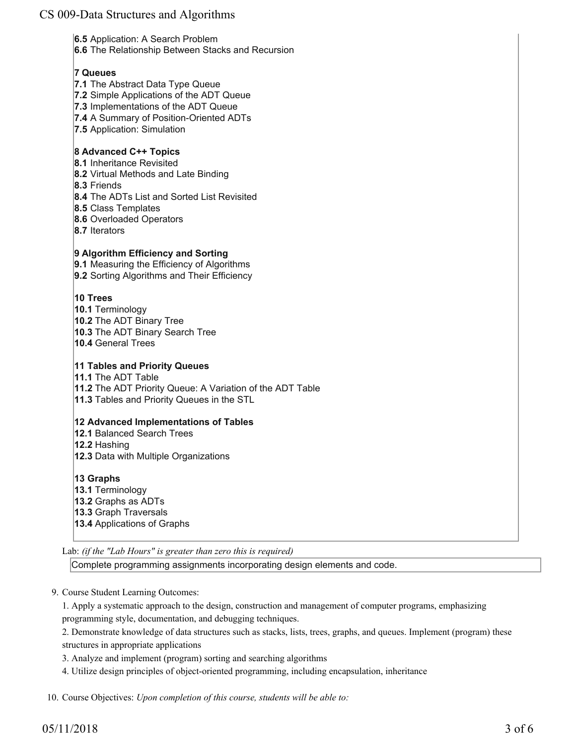**6.5** Application: A Search Problem

**6.6** The Relationship Between Stacks and Recursion

## **7 Queues**

- **7.1** The Abstract Data Type Queue
- **7.2** Simple Applications of the ADT Queue
- **7.3** Implementations of the ADT Queue
- **7.4** A Summary of Position-Oriented ADTs
- **7.5** Application: Simulation

## **8 Advanced C++ Topics**

- **8.1** Inheritance Revisited
- **8.2** Virtual Methods and Late Binding
- **8.3** Friends
- **8.4** The ADTs List and Sorted List Revisited
- **8.5** Class Templates
- **8.6** Overloaded Operators
- **8.7** Iterators

### **9 Algorithm Efficiency and Sorting**

**9.1** Measuring the Efficiency of Algorithms

**9.2** Sorting Algorithms and Their Efficiency

### **10 Trees**

**10.1** Terminology **10.2** The ADT Binary Tree **10.3** The ADT Binary Search Tree **10.4** General Trees

### **11 Tables and Priority Queues**

**11.1** The ADT Table **11.2** The ADT Priority Queue: A Variation of the ADT Table **11.3** Tables and Priority Queues in the STL

#### **12 Advanced Implementations of Tables**

**12.1** Balanced Search Trees **12.2** Hashing **12.3** Data with Multiple Organizations

- **13 Graphs**
- **13.1** Terminology **13.2** Graphs as ADTs **13.3** Graph Traversals
- **13.4** Applications of Graphs

Lab: *(if the "Lab Hours" is greater than zero this is required)*

Complete programming assignments incorporating design elements and code.

9. Course Student Learning Outcomes:

1. Apply a systematic approach to the design, construction and management of computer programs, emphasizing programming style, documentation, and debugging techniques.

2. Demonstrate knowledge of data structures such as stacks, lists, trees, graphs, and queues. Implement (program) these structures in appropriate applications

3. Analyze and implement (program) sorting and searching algorithms

4. Utilize design principles of object-oriented programming, including encapsulation, inheritance

10. Course Objectives: *Upon completion of this course, students will be able to:*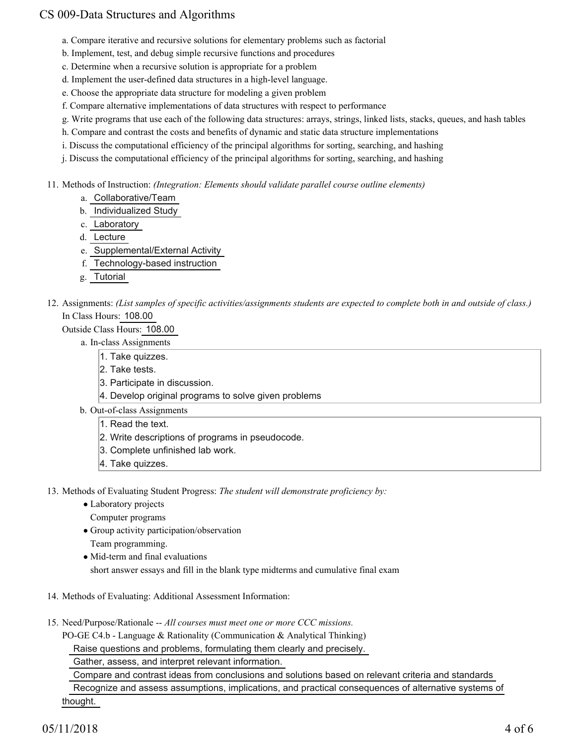- a. Compare iterative and recursive solutions for elementary problems such as factorial
- b. Implement, test, and debug simple recursive functions and procedures
- c. Determine when a recursive solution is appropriate for a problem
- d. Implement the user-defined data structures in a high-level language.
- e. Choose the appropriate data structure for modeling a given problem
- f. Compare alternative implementations of data structures with respect to performance
- g. Write programs that use each of the following data structures: arrays, strings, linked lists, stacks, queues, and hash tables
- h. Compare and contrast the costs and benefits of dynamic and static data structure implementations
- i. Discuss the computational efficiency of the principal algorithms for sorting, searching, and hashing
- j. Discuss the computational efficiency of the principal algorithms for sorting, searching, and hashing
- Methods of Instruction: *(Integration: Elements should validate parallel course outline elements)* 11.
	- a. Collaborative/Team
	- b. Individualized Study
	- c. Laboratory
	- d. Lecture
	- e. Supplemental/External Activity
	- f. Technology-based instruction
	- g. Tutorial
- 12. Assignments: (List samples of specific activities/assignments students are expected to complete both in and outside of class.) In Class Hours: 108.00

Outside Class Hours: 108.00

- a. In-class Assignments
	- 1. Take quizzes.
	- 2. Take tests.
	- 3. Participate in discussion.
	- 4. Develop original programs to solve given problems
- b. Out-of-class Assignments
	- 1. Read the text.
	- 2. Write descriptions of programs in pseudocode.
	- 3. Complete unfinished lab work.
	- 4. Take quizzes.
- 13. Methods of Evaluating Student Progress: The student will demonstrate proficiency by:
	- Laboratory projects
		- Computer programs
	- Group activity participation/observation
	- Team programming.
	- Mid-term and final evaluations
	- short answer essays and fill in the blank type midterms and cumulative final exam
- 14. Methods of Evaluating: Additional Assessment Information:
- 15. Need/Purpose/Rationale -- All courses must meet one or more CCC missions.

PO-GE C4.b - Language & Rationality (Communication & Analytical Thinking)

Raise questions and problems, formulating them clearly and precisely.

Gather, assess, and interpret relevant information.

 Compare and contrast ideas from conclusions and solutions based on relevant criteria and standards Recognize and assess assumptions, implications, and practical consequences of alternative systems of thought.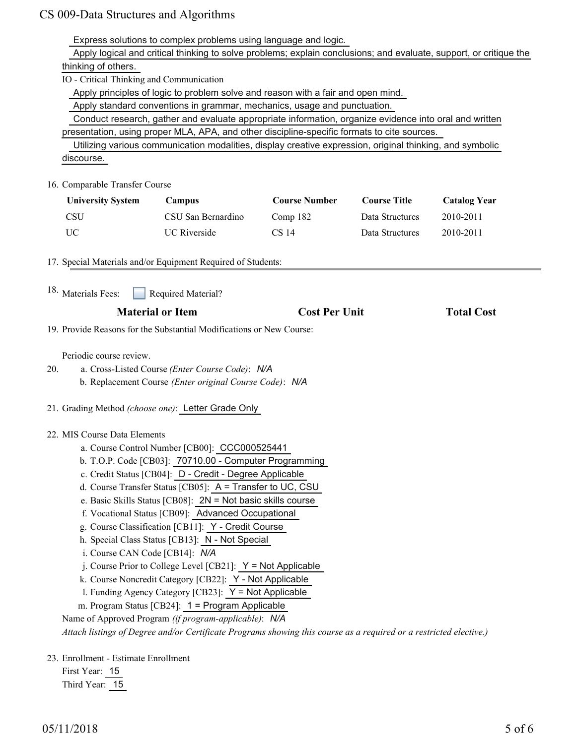Express solutions to complex problems using language and logic.

 Apply logical and critical thinking to solve problems; explain conclusions; and evaluate, support, or critique the thinking of others.

IO - Critical Thinking and Communication

Apply principles of logic to problem solve and reason with a fair and open mind.

Apply standard conventions in grammar, mechanics, usage and punctuation.

 Conduct research, gather and evaluate appropriate information, organize evidence into oral and written presentation, using proper MLA, APA, and other discipline-specific formats to cite sources.

 Utilizing various communication modalities, display creative expression, original thinking, and symbolic discourse.

#### 16. Comparable Transfer Course

| <b>University System</b> | <b>Campus</b>       | <b>Course Number</b> | <b>Course Title</b> | <b>Catalog Year</b> |
|--------------------------|---------------------|----------------------|---------------------|---------------------|
| <b>CSU</b>               | CSU San Bernardino  | Comp 182             | Data Structures     | 2010-2011           |
| UC                       | <b>UC</b> Riverside | CS 14                | Data Structures     | 2010-2011           |

17. Special Materials and/or Equipment Required of Students:

Required Material? <sup>18.</sup> Materials Fees:

## **Material or Item Cost Per Unit Total Cost**

19. Provide Reasons for the Substantial Modifications or New Course:

Periodic course review.

- a. Cross-Listed Course *(Enter Course Code)*: *N/A* b. Replacement Course *(Enter original Course Code)*: *N/A* 20.
- 21. Grading Method *(choose one)*: Letter Grade Only

#### 22. MIS Course Data Elements

- a. Course Control Number [CB00]: CCC000525441
- b. T.O.P. Code [CB03]: 70710.00 Computer Programming
- c. Credit Status [CB04]: D Credit Degree Applicable
- d. Course Transfer Status [CB05]: A = Transfer to UC, CSU
- e. Basic Skills Status [CB08]: 2N = Not basic skills course
- f. Vocational Status [CB09]: Advanced Occupational
- g. Course Classification [CB11]: Y Credit Course
- h. Special Class Status [CB13]: N Not Special
- i. Course CAN Code [CB14]: *N/A*
- j. Course Prior to College Level [CB21]: Y = Not Applicable
- k. Course Noncredit Category [CB22]: Y Not Applicable
- l. Funding Agency Category [CB23]: Y = Not Applicable
- m. Program Status [CB24]: 1 = Program Applicable
- Name of Approved Program *(if program-applicable)*: *N/A*

*Attach listings of Degree and/or Certificate Programs showing this course as a required or a restricted elective.)*

23. Enrollment - Estimate Enrollment

First Year: 15 Third Year: 15